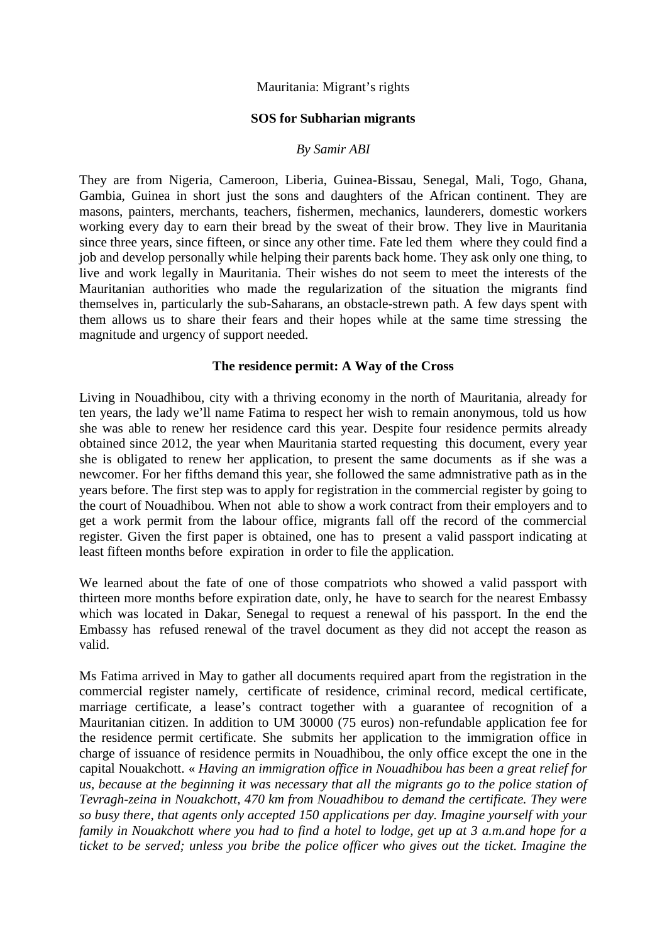### Mauritania: Migrant's rights

# **SOS for Subharian migrants**

# *By Samir ABI*

They are from Nigeria, Cameroon, Liberia, Guinea-Bissau, Senegal, Mali, Togo, Ghana, Gambia, Guinea in short just the sons and daughters of the African continent. They are masons, painters, merchants, teachers, fishermen, mechanics, launderers, domestic workers working every day to earn their bread by the sweat of their brow. They live in Mauritania since three years, since fifteen, or since any other time. Fate led them where they could find a job and develop personally while helping their parents back home. They ask only one thing, to live and work legally in Mauritania. Their wishes do not seem to meet the interests of the Mauritanian authorities who made the regularization of the situation the migrants find themselves in, particularly the sub-Saharans, an obstacle-strewn path. A few days spent with them allows us to share their fears and their hopes while at the same time stressing the magnitude and urgency of support needed.

### **The residence permit: A Way of the Cross**

Living in Nouadhibou, city with a thriving economy in the north of Mauritania, already for ten years, the lady we'll name Fatima to respect her wish to remain anonymous, told us how she was able to renew her residence card this year. Despite four residence permits already obtained since 2012, the year when Mauritania started requesting this document, every year she is obligated to renew her application, to present the same documents as if she was a newcomer. For her fifths demand this year, she followed the same admnistrative path as in the years before. The first step was to apply for registration in the commercial register by going to the court of Nouadhibou. When not able to show a work contract from their employers and to get a work permit from the labour office, migrants fall off the record of the commercial register. Given the first paper is obtained, one has to present a valid passport indicating at least fifteen months before expiration in order to file the application.

We learned about the fate of one of those compatriots who showed a valid passport with thirteen more months before expiration date, only, he have to search for the nearest Embassy which was located in Dakar, Senegal to request a renewal of his passport. In the end the Embassy has refused renewal of the travel document as they did not accept the reason as valid.

Ms Fatima arrived in May to gather all documents required apart from the registration in the commercial register namely, certificate of residence, criminal record, medical certificate, marriage certificate, a lease's contract together with a guarantee of recognition of a Mauritanian citizen. In addition to UM 30000 (75 euros) non-refundable application fee for the residence permit certificate. She submits her application to the immigration office in charge of issuance of residence permits in Nouadhibou, the only office except the one in the capital Nouakchott. « *Having an immigration office in Nouadhibou has been a great relief for us, because at the beginning it was necessary that all the migrants go to the police station of Tevragh-zeina in Nouakchott, 470 km from Nouadhibou to demand the certificate. They were so busy there, that agents only accepted 150 applications per day. Imagine yourself with your family in Nouakchott where you had to find a hotel to lodge, get up at 3 a.m.and hope for a ticket to be served; unless you bribe the police officer who gives out the ticket. Imagine the*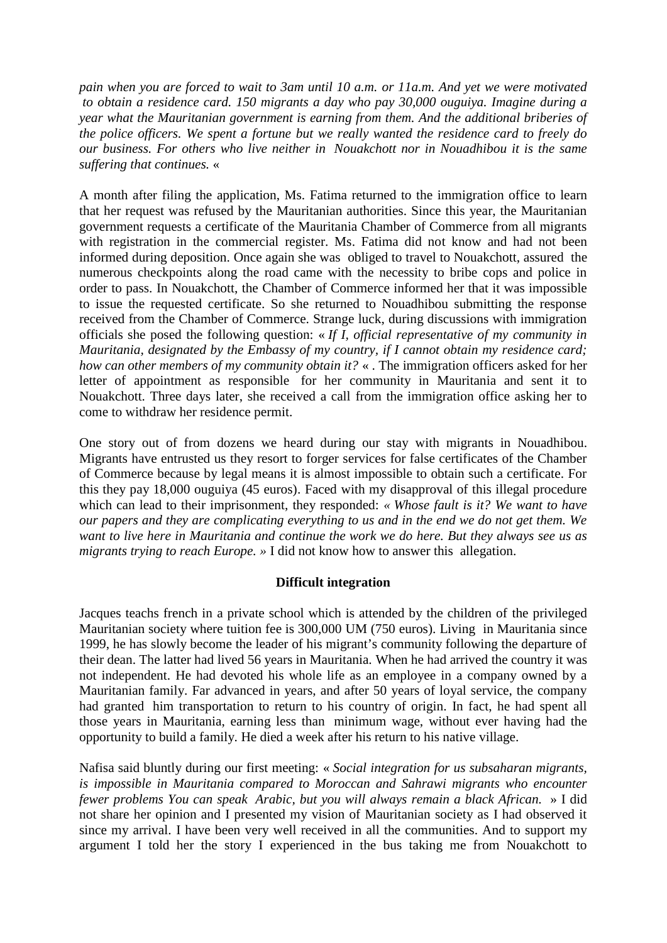*pain when you are forced to wait to 3am until 10 a.m. or 11a.m. And yet we were motivated to obtain a residence card. 150 migrants a day who pay 30,000 ouguiya. Imagine during a year what the Mauritanian government is earning from them. And the additional briberies of the police officers. We spent a fortune but we really wanted the residence card to freely do our business. For others who live neither in Nouakchott nor in Nouadhibou it is the same suffering that continues.* «

A month after filing the application, Ms. Fatima returned to the immigration office to learn that her request was refused by the Mauritanian authorities. Since this year, the Mauritanian government requests a certificate of the Mauritania Chamber of Commerce from all migrants with registration in the commercial register. Ms. Fatima did not know and had not been informed during deposition. Once again she was obliged to travel to Nouakchott, assured the numerous checkpoints along the road came with the necessity to bribe cops and police in order to pass. In Nouakchott, the Chamber of Commerce informed her that it was impossible to issue the requested certificate. So she returned to Nouadhibou submitting the response received from the Chamber of Commerce. Strange luck, during discussions with immigration officials she posed the following question: « *If I, official representative of my community in Mauritania, designated by the Embassy of my country, if I cannot obtain my residence card; how can other members of my community obtain it?* « . The immigration officers asked for her letter of appointment as responsible for her community in Mauritania and sent it to Nouakchott. Three days later, she received a call from the immigration office asking her to come to withdraw her residence permit.

One story out of from dozens we heard during our stay with migrants in Nouadhibou. Migrants have entrusted us they resort to forger services for false certificates of the Chamber of Commerce because by legal means it is almost impossible to obtain such a certificate. For this they pay 18,000 ouguiya (45 euros). Faced with my disapproval of this illegal procedure which can lead to their imprisonment, they responded: *« Whose fault is it? We want to have our papers and they are complicating everything to us and in the end we do not get them. We want to live here in Mauritania and continue the work we do here. But they always see us as migrants trying to reach Europe. »* I did not know how to answer this allegation.

### **Difficult integration**

Jacques teachs french in a private school which is attended by the children of the privileged Mauritanian society where tuition fee is 300,000 UM (750 euros). Living in Mauritania since 1999, he has slowly become the leader of his migrant's community following the departure of their dean. The latter had lived 56 years in Mauritania. When he had arrived the country it was not independent. He had devoted his whole life as an employee in a company owned by a Mauritanian family. Far advanced in years, and after 50 years of loyal service, the company had granted him transportation to return to his country of origin. In fact, he had spent all those years in Mauritania, earning less than minimum wage, without ever having had the opportunity to build a family. He died a week after his return to his native village.

Nafisa said bluntly during our first meeting: « *Social integration for us subsaharan migrants, is impossible in Mauritania compared to Moroccan and Sahrawi migrants who encounter fewer problems You can speak Arabic, but you will always remain a black African.* » I did not share her opinion and I presented my vision of Mauritanian society as I had observed it since my arrival. I have been very well received in all the communities. And to support my argument I told her the story I experienced in the bus taking me from Nouakchott to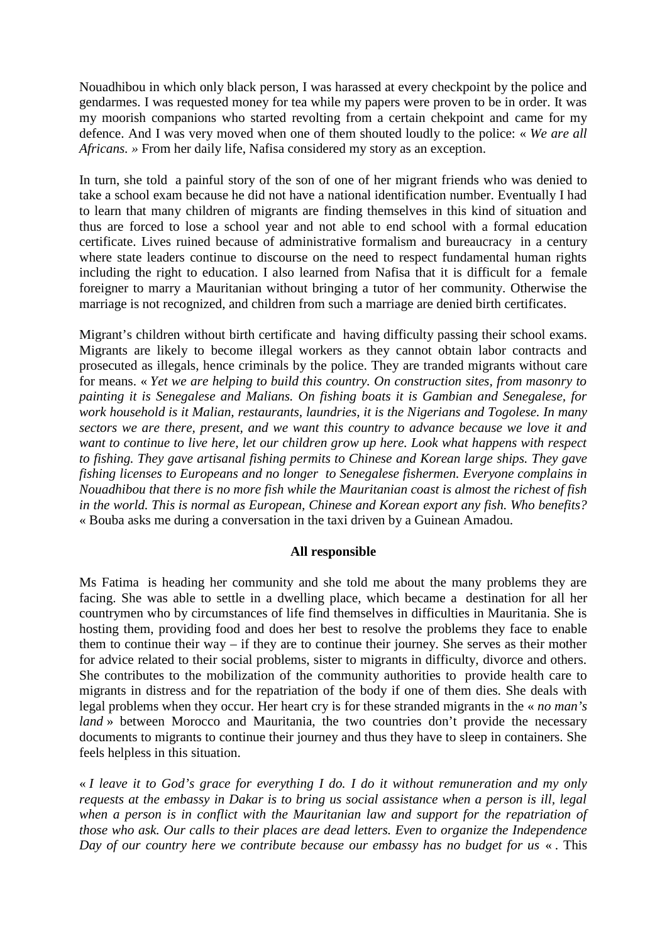Nouadhibou in which only black person, I was harassed at every checkpoint by the police and gendarmes. I was requested money for tea while my papers were proven to be in order. It was my moorish companions who started revolting from a certain chekpoint and came for my defence. And I was very moved when one of them shouted loudly to the police: « *We are all Africans. »* From her daily life, Nafisa considered my story as an exception.

In turn, she told a painful story of the son of one of her migrant friends who was denied to take a school exam because he did not have a national identification number. Eventually I had to learn that many children of migrants are finding themselves in this kind of situation and thus are forced to lose a school year and not able to end school with a formal education certificate. Lives ruined because of administrative formalism and bureaucracy in a century where state leaders continue to discourse on the need to respect fundamental human rights including the right to education. I also learned from Nafisa that it is difficult for a female foreigner to marry a Mauritanian without bringing a tutor of her community. Otherwise the marriage is not recognized, and children from such a marriage are denied birth certificates.

Migrant's children without birth certificate and having difficulty passing their school exams. Migrants are likely to become illegal workers as they cannot obtain labor contracts and prosecuted as illegals, hence criminals by the police. They are tranded migrants without care for means. « *Yet we are helping to build this country. On construction sites, from masonry to painting it is Senegalese and Malians. On fishing boats it is Gambian and Senegalese, for work household is it Malian, restaurants, laundries, it is the Nigerians and Togolese. In many sectors we are there, present, and we want this country to advance because we love it and want to continue to live here, let our children grow up here. Look what happens with respect to fishing. They gave artisanal fishing permits to Chinese and Korean large ships. They gave fishing licenses to Europeans and no longer to Senegalese fishermen. Everyone complains in Nouadhibou that there is no more fish while the Mauritanian coast is almost the richest of fish in the world. This is normal as European, Chinese and Korean export any fish. Who benefits?* « Bouba asks me during a conversation in the taxi driven by a Guinean Amadou.

### **All responsible**

Ms Fatima is heading her community and she told me about the many problems they are facing. She was able to settle in a dwelling place, which became a destination for all her countrymen who by circumstances of life find themselves in difficulties in Mauritania. She is hosting them, providing food and does her best to resolve the problems they face to enable them to continue their way – if they are to continue their journey. She serves as their mother for advice related to their social problems, sister to migrants in difficulty, divorce and others. She contributes to the mobilization of the community authorities to provide health care to migrants in distress and for the repatriation of the body if one of them dies. She deals with legal problems when they occur. Her heart cry is for these stranded migrants in the « *no man's land* » between Morocco and Mauritania, the two countries don't provide the necessary documents to migrants to continue their journey and thus they have to sleep in containers. She feels helpless in this situation.

« *I leave it to God's grace for everything I do. I do it without remuneration and my only requests at the embassy in Dakar is to bring us social assistance when a person is ill, legal when a person is in conflict with the Mauritanian law and support for the repatriation of those who ask. Our calls to their places are dead letters. Even to organize the Independence Day of our country here we contribute because our embassy has no budget for us* « . This